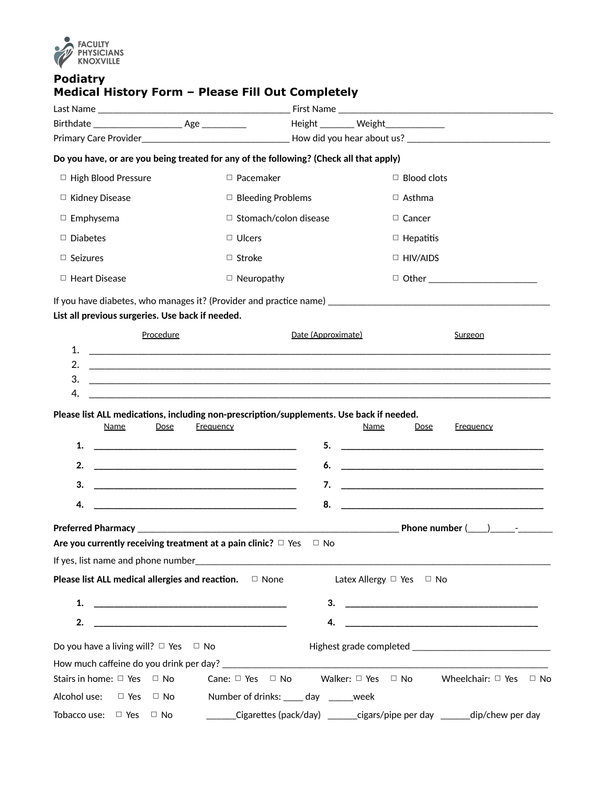

## **Podiatry Medical History Form – Please Fill Out Completely**

|                                                                    |                                                                                                                             | Height _______ Weight____________                                                                                                                                                                                                    |
|--------------------------------------------------------------------|-----------------------------------------------------------------------------------------------------------------------------|--------------------------------------------------------------------------------------------------------------------------------------------------------------------------------------------------------------------------------------|
|                                                                    |                                                                                                                             |                                                                                                                                                                                                                                      |
|                                                                    | Do you have, or are you being treated for any of the following? (Check all that apply)                                      |                                                                                                                                                                                                                                      |
| □ High Blood Pressure                                              | $\Box$ Pacemaker                                                                                                            | $\Box$ Blood clots                                                                                                                                                                                                                   |
| □ Kidney Disease                                                   | $\Box$ Bleeding Problems                                                                                                    | $\Box$ Asthma                                                                                                                                                                                                                        |
| $\Box$ Emphysema                                                   | $\Box$ Stomach/colon disease                                                                                                | $\Box$ Cancer                                                                                                                                                                                                                        |
| $\Box$ Diabetes                                                    | $\Box$ Ulcers                                                                                                               | $\Box$ Hepatitis                                                                                                                                                                                                                     |
| $\Box$ Seizures                                                    | $\Box$ Stroke                                                                                                               | $\Box$ HIV/AIDS                                                                                                                                                                                                                      |
| $\Box$ Heart Disease                                               | $\Box$ Neuropathy                                                                                                           | D Other ________________________                                                                                                                                                                                                     |
|                                                                    |                                                                                                                             |                                                                                                                                                                                                                                      |
| List all previous surgeries. Use back if needed.                   |                                                                                                                             |                                                                                                                                                                                                                                      |
| Procedure                                                          | Date (Approximate)                                                                                                          | Surgeon                                                                                                                                                                                                                              |
| 1.                                                                 |                                                                                                                             |                                                                                                                                                                                                                                      |
| 2.                                                                 |                                                                                                                             |                                                                                                                                                                                                                                      |
| 3.                                                                 |                                                                                                                             | <u> 1989 - Andrea Station Barbara, actor a component de la componentación de la componentación de la componentació</u>                                                                                                               |
| 4.                                                                 |                                                                                                                             |                                                                                                                                                                                                                                      |
|                                                                    | Please list ALL medications, including non-prescription/supplements. Use back if needed.                                    |                                                                                                                                                                                                                                      |
| Name<br>Dose                                                       | <b>Frequency</b>                                                                                                            | Name<br><b>Frequency</b><br><u>Dose</u>                                                                                                                                                                                              |
| 1.                                                                 | 5.                                                                                                                          |                                                                                                                                                                                                                                      |
| 2.                                                                 | 6.<br><u> 1989 - Johann Harry Harry Harry Harry Harry Harry Harry Harry Harry Harry Harry Harry Harry Harry Harry Harry</u> | <u> 1989 - Johann Harry Harry Harry Harry Harry Harry Harry Harry Harry Harry Harry Harry Harry Harry Harry Harry Harry Harry Harry Harry Harry Harry Harry Harry Harry Harry Harry Harry Harry Harry Harry Harry Harry Harry Ha</u> |
| 3.                                                                 | 7.                                                                                                                          |                                                                                                                                                                                                                                      |
| 4.                                                                 | 8.<br>the control of the control of the control of the control of the control of the control of                             |                                                                                                                                                                                                                                      |
|                                                                    |                                                                                                                             |                                                                                                                                                                                                                                      |
| Are you currently receiving treatment at a pain clinic? $\Box$ Yes | $\Box$ No                                                                                                                   |                                                                                                                                                                                                                                      |
|                                                                    |                                                                                                                             |                                                                                                                                                                                                                                      |
| Please list ALL medical allergies and reaction.                    | $\Box$ None                                                                                                                 | Latex Allergy □ Yes □ No                                                                                                                                                                                                             |
| 1.                                                                 | 3.                                                                                                                          |                                                                                                                                                                                                                                      |
| 2.                                                                 | 4.                                                                                                                          |                                                                                                                                                                                                                                      |
| Do you have a living will? $\Box$ Yes $\Box$ No                    |                                                                                                                             |                                                                                                                                                                                                                                      |
|                                                                    |                                                                                                                             |                                                                                                                                                                                                                                      |
| Stairs in home: $\Box$ Yes $\Box$ No                               | Cane: $\Box$ Yes $\Box$ No                                                                                                  | Walker: $\Box$ Yes $\Box$ No Wheelchair: $\Box$ Yes $\Box$ No                                                                                                                                                                        |
| Alcohol use:<br>$\Box$ Yes<br>$\Box$ No                            | Number of drinks: _____ day ______week                                                                                      |                                                                                                                                                                                                                                      |
| Tobacco use: $\Box$ Yes<br>$\Box$ No                               |                                                                                                                             | ______Cigarettes (pack/day) _______cigars/pipe per day _______dip/chew per day                                                                                                                                                       |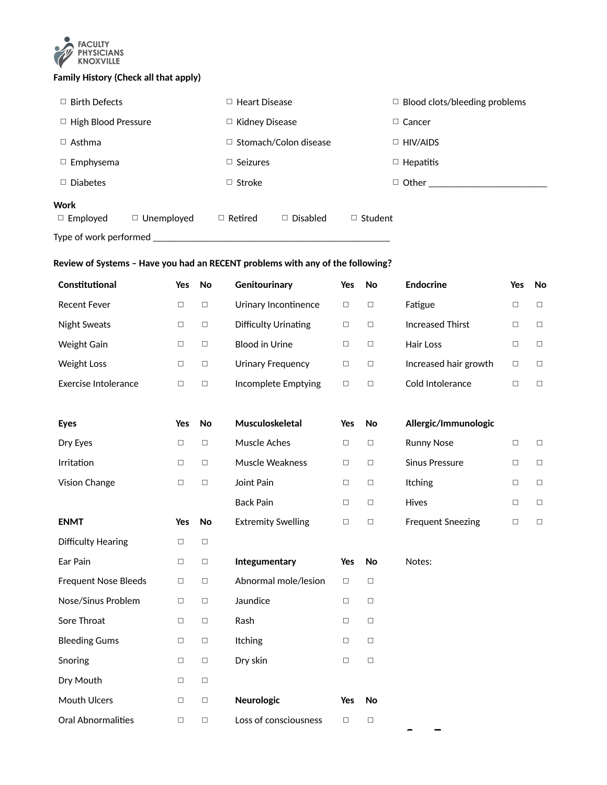

## **Family History (Check all that apply)**

| $\Box$ Birth Defects                 | Heart Disease<br>o                | $\Box$ Blood clots/bleeding problems |
|--------------------------------------|-----------------------------------|--------------------------------------|
| $\Box$ High Blood Pressure           | $\Box$ Kidney Disease             | $\Box$ Cancer                        |
| $\Box$ Asthma                        | $\Box$ Stomach/Colon disease      | $\Box$ HIV/AIDS                      |
| $\Box$ Emphysema                     | $\Box$ Seizures                   | $\Box$ Hepatitis                     |
| $\Box$ Diabetes                      | $\Box$ Stroke                     | $\Box$ Other                         |
| Work                                 |                                   |                                      |
| $\Box$ Unemployed<br>$\Box$ Employed | $\Box$ Disabled<br>$\Box$ Retired | $\Box$ Student                       |
| Type of work performed               |                                   |                                      |

## **Review of Systems – Have you had an RECENT problems with any of the following?**

| Constitutional              | Yes    | <b>No</b> | Genitourinary               | Yes    | <b>No</b> | <b>Endocrine</b>         | Yes    | No     |
|-----------------------------|--------|-----------|-----------------------------|--------|-----------|--------------------------|--------|--------|
| <b>Recent Fever</b>         | $\Box$ | $\Box$    | Urinary Incontinence        | $\Box$ | $\Box$    | Fatigue                  | $\Box$ | $\Box$ |
| <b>Night Sweats</b>         | $\Box$ | $\Box$    | <b>Difficulty Urinating</b> | $\Box$ | $\Box$    | <b>Increased Thirst</b>  | $\Box$ | $\Box$ |
| Weight Gain                 | $\Box$ | $\Box$    | <b>Blood in Urine</b>       | $\Box$ | $\Box$    | Hair Loss                | $\Box$ | $\Box$ |
| <b>Weight Loss</b>          | $\Box$ | $\Box$    | <b>Urinary Frequency</b>    | $\Box$ | $\Box$    | Increased hair growth    | $\Box$ | $\Box$ |
| Exercise Intolerance        | $\Box$ | $\Box$    | Incomplete Emptying         | $\Box$ | $\Box$    | Cold Intolerance         | $\Box$ | $\Box$ |
|                             |        |           |                             |        |           |                          |        |        |
| <b>Eyes</b>                 | Yes    | <b>No</b> | Musculoskeletal             | Yes    | No        | Allergic/Immunologic     |        |        |
| Dry Eyes                    | $\Box$ | $\Box$    | Muscle Aches                | $\Box$ | $\Box$    | <b>Runny Nose</b>        | $\Box$ | $\Box$ |
| Irritation                  | $\Box$ | $\Box$    | <b>Muscle Weakness</b>      | $\Box$ | $\Box$    | <b>Sinus Pressure</b>    | $\Box$ | $\Box$ |
| Vision Change               | $\Box$ | $\Box$    | Joint Pain                  | $\Box$ | $\Box$    | Itching                  | $\Box$ | $\Box$ |
|                             |        |           | <b>Back Pain</b>            | $\Box$ | $\Box$    | Hives                    | $\Box$ | $\Box$ |
| <b>ENMT</b>                 | Yes    | No        | <b>Extremity Swelling</b>   | $\Box$ | $\Box$    | <b>Frequent Sneezing</b> | $\Box$ | $\Box$ |
| <b>Difficulty Hearing</b>   | $\Box$ | $\Box$    |                             |        |           |                          |        |        |
| Ear Pain                    | $\Box$ | $\Box$    | Integumentary               | Yes    | No        | Notes:                   |        |        |
| <b>Frequent Nose Bleeds</b> | $\Box$ | $\Box$    | Abnormal mole/lesion        | $\Box$ | $\Box$    |                          |        |        |
| Nose/Sinus Problem          | $\Box$ | $\Box$    | Jaundice                    | $\Box$ | $\Box$    |                          |        |        |
| Sore Throat                 | $\Box$ | $\Box$    | Rash                        | $\Box$ | $\Box$    |                          |        |        |
| <b>Bleeding Gums</b>        | □      | $\Box$    | Itching                     | $\Box$ | $\Box$    |                          |        |        |
| Snoring                     | $\Box$ | $\Box$    | Dry skin                    | $\Box$ | $\Box$    |                          |        |        |
| Dry Mouth                   | $\Box$ | $\Box$    |                             |        |           |                          |        |        |
| Mouth Ulcers                | $\Box$ | $\Box$    | Neurologic                  | Yes    | No        |                          |        |        |
| Oral Abnormalities          | $\Box$ | $\Box$    | Loss of consciousness       | $\Box$ | $\Box$    |                          |        |        |
|                             |        |           |                             |        |           |                          |        |        |